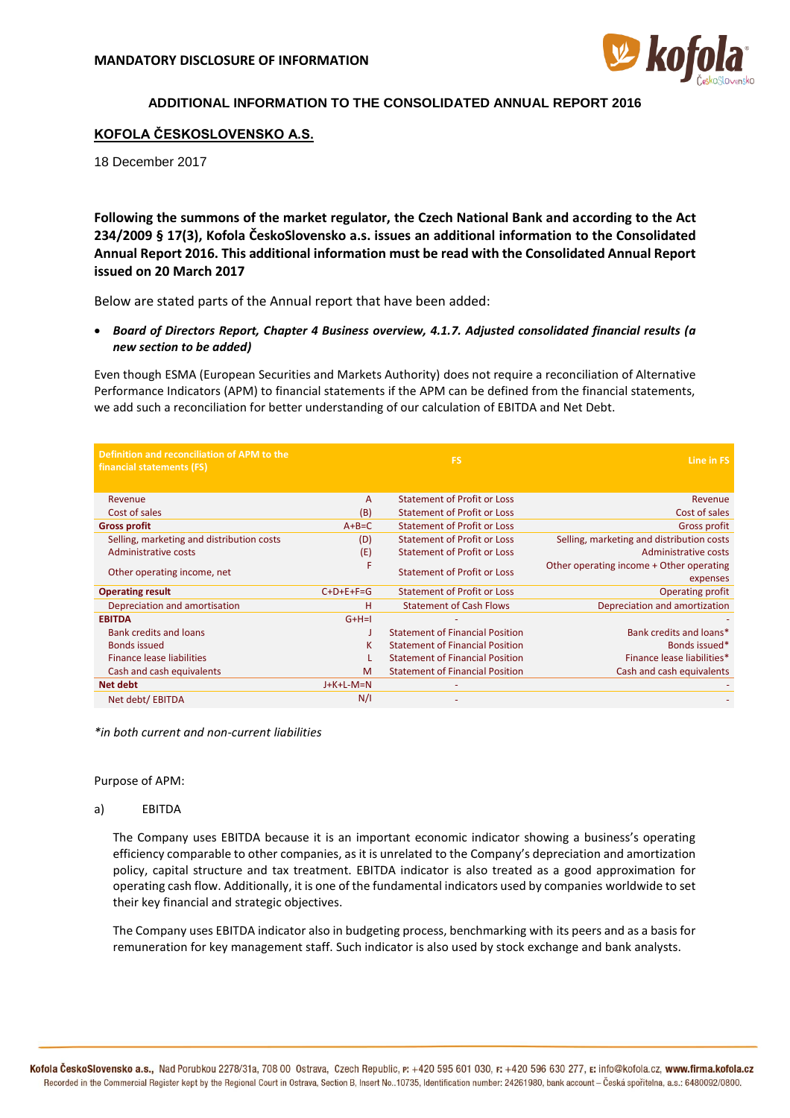

# **ADDITIONAL INFORMATION TO THE CONSOLIDATED ANNUAL REPORT 2016**

## **KOFOLA ČESKOSLOVENSKO A.S.**

18 December 2017

**Following the summons of the market regulator, the Czech National Bank and according to the Act 234/2009 § 17(3), Kofola ČeskoSlovensko a.s. issues an additional information to the Consolidated Annual Report 2016. This additional information must be read with the Consolidated Annual Report issued on 20 March 2017**

Below are stated parts of the Annual report that have been added:

• *Board of Directors Report, Chapter 4 Business overview, 4.1.7. Adjusted consolidated financial results (a new section to be added)*

Even though ESMA (European Securities and Markets Authority) does not require a reconciliation of Alternative Performance Indicators (APM) to financial statements if the APM can be defined from the financial statements, we add such a reconciliation for better understanding of our calculation of EBITDA and Net Debt.

| Definition and reconciliation of APM to the<br>financial statements (FS) |              | <b>FS</b>                              | Line in FS                                           |
|--------------------------------------------------------------------------|--------------|----------------------------------------|------------------------------------------------------|
| Revenue                                                                  | $\mathsf{A}$ | <b>Statement of Profit or Loss</b>     | Revenue                                              |
| Cost of sales                                                            | (B)          | <b>Statement of Profit or Loss</b>     | Cost of sales                                        |
| <b>Gross profit</b>                                                      | $A+B=C$      | <b>Statement of Profit or Loss</b>     | <b>Gross profit</b>                                  |
| Selling, marketing and distribution costs                                | (D)          | <b>Statement of Profit or Loss</b>     | Selling, marketing and distribution costs            |
| Administrative costs                                                     | (E)          | <b>Statement of Profit or Loss</b>     | Administrative costs                                 |
| Other operating income, net                                              | F            | Statement of Profit or Loss            | Other operating income + Other operating<br>expenses |
| <b>Operating result</b>                                                  | $C+D+E+F=G$  | <b>Statement of Profit or Loss</b>     | <b>Operating profit</b>                              |
| Depreciation and amortisation                                            | н            | <b>Statement of Cash Flows</b>         | Depreciation and amortization                        |
| <b>EBITDA</b>                                                            | $G+H=I$      |                                        |                                                      |
| <b>Bank credits and loans</b>                                            |              | <b>Statement of Financial Position</b> | Bank credits and loans*                              |
| <b>Bonds issued</b>                                                      | к            | <b>Statement of Financial Position</b> | Bonds issued*                                        |
| Finance lease liabilities                                                |              | <b>Statement of Financial Position</b> | Finance lease liabilities*                           |
| Cash and cash equivalents                                                | M            | <b>Statement of Financial Position</b> | Cash and cash equivalents                            |
| <b>Net debt</b>                                                          | $J+K+L-M=N$  |                                        |                                                      |
| Net debt/ EBITDA                                                         | N/I          |                                        |                                                      |

*\*in both current and non-current liabilities*

Purpose of APM:

### a) EBITDA

The Company uses EBITDA because it is an important economic indicator showing a business's operating efficiency comparable to other companies, as it is unrelated to the Company's depreciation and amortization policy, capital structure and tax treatment. EBITDA indicator is also treated as a good approximation for operating cash flow. Additionally, it is one of the fundamental indicators used by companies worldwide to set their key financial and strategic objectives.

The Company uses EBITDA indicator also in budgeting process, benchmarking with its peers and as a basis for remuneration for key management staff. Such indicator is also used by stock exchange and bank analysts.